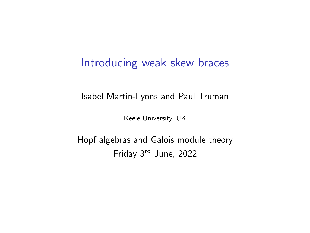### <span id="page-0-0"></span>Introducing weak skew braces

Isabel Martin-Lyons and Paul Truman

Keele University, UK

Hopf algebras and Galois module theory Friday 3rd June, 2022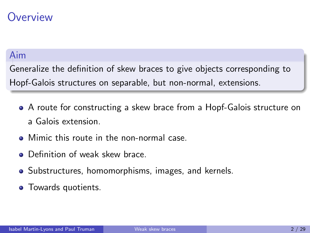## **Overview**

#### Aim

Generalize the definition of skew braces to give objects corresponding to Hopf-Galois structures on separable, but non-normal, extensions.

- A route for constructing a skew brace from a Hopf-Galois structure on a Galois extension.
- **Mimic this route in the non-normal case.**
- **•** Definition of weak skew brace.
- Substructures, homomorphisms, images, and kernels.
- Towards quotients.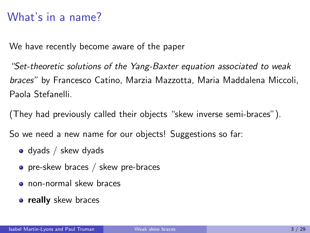# What's in a name?

We have recently become aware of the paper

"Set-theoretic solutions of the Yang-Baxter equation associated to weak braces" by Francesco Catino, Marzia Mazzotta, Maria Maddalena Miccoli, Paola Stefanelli.

(They had previously called their objects "skew inverse semi-braces").

So we need a new name for our objects! Suggestions so far:

- $\bullet$  dyads / skew dyads
- **•** pre-skew braces / skew pre-braces
- non-normal skew braces
- **really** skew braces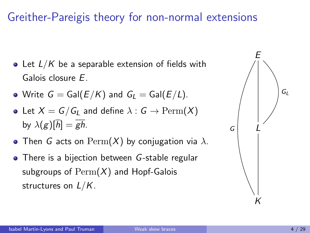# Greither-Pareigis theory for non-normal extensions

- Let  $L/K$  be a separable extension of fields with Galois closure E.
- Write  $G = Gal(E/K)$  and  $G<sub>l</sub> = Gal(E/L)$ .
- Let  $X = G/G_L$  and define  $\lambda : G \to \text{Perm}(X)$ by  $\lambda(g)[\overline{h}] = \overline{gh}$ .
- Then G acts on  $\text{Perm}(X)$  by conjugation via  $\lambda$ .
- There is a bijection between G-stable regular subgroups of  $\text{Perm}(X)$  and Hopf-Galois structures on  $L/K$ .

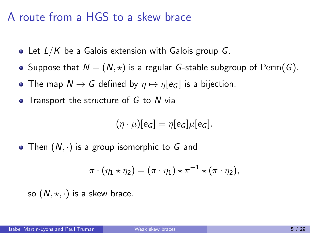## A route from a HGS to a skew brace

- Let  $L/K$  be a Galois extension with Galois group G.
- Suppose that  $N = (N, \star)$  is a regular *G*-stable subgroup of  $\text{Perm}(G)$ .
- The map  $N \to G$  defined by  $\eta \mapsto \eta[e_G]$  is a bijection.
- Transport the structure of  $G$  to  $N$  via

$$
(\eta \cdot \mu)[e_G] = \eta[e_G]\mu[e_G].
$$

• Then  $(N, \cdot)$  is a group isomorphic to G and

$$
\pi \cdot (\eta_1 \star \eta_2) = (\pi \cdot \eta_1) \star \pi^{-1} \star (\pi \cdot \eta_2),
$$

so  $(N, \star, \cdot)$  is a skew brace.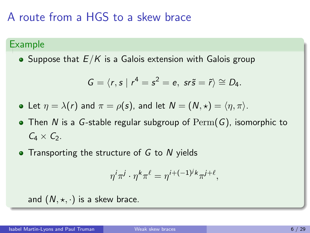# A route from a HGS to a skew brace

#### Example

• Suppose that  $E/K$  is a Galois extension with Galois group

$$
G=\langle r,s \mid r^4=s^2=e, \text{ sr}\tilde{s}=\tilde{r}\rangle\cong D_4.
$$

• Let  $\eta = \lambda(r)$  and  $\pi = \rho(s)$ , and let  $N = (N, \star) = \langle \eta, \pi \rangle$ .

- Then N is a G-stable regular subgroup of  $\mathrm{Perm}(G)$ , isomorphic to  $C_4 \times C_2$ .
- $\bullet$  Transporting the structure of G to N yields

$$
\eta^i \pi^j \cdot \eta^k \pi^\ell = \eta^{i+(-1)^j k} \pi^{j+\ell},
$$

and  $(N, \star, \cdot)$  is a skew brace.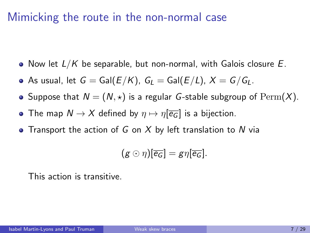- Now let  $L/K$  be separable, but non-normal, with Galois closure  $E$ .
- As usual, let  $G = \text{Gal}(E/K)$ ,  $G_l = \text{Gal}(E/L)$ ,  $X = G/G_l$ .
- Suppose that  $N = (N, \star)$  is a regular G-stable subgroup of  $\text{Perm}(X)$ .
- The map  $N \to X$  defined by  $\eta \mapsto \eta[\overline{e_G}]$  is a bijection.
- Transport the action of G on X by left translation to N via

$$
(g \odot \eta)[\overline{e_G}] = g\eta[\overline{e_G}].
$$

This action is transitive.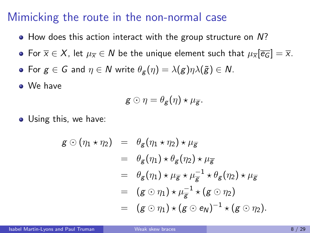- How does this action interact with the group structure on N?
- For  $\overline{x} \in X$ , let  $\mu_{\overline{x}} \in N$  be the unique element such that  $\mu_{\overline{x}}$   $\overline{e_G}$  =  $\overline{x}$ .
- For  $g \in G$  and  $\eta \in N$  write  $\theta_g(\eta) = \lambda(g)\eta\lambda(\tilde{g}) \in N$ .

We have

$$
g\odot \eta=\theta_g(\eta)\star \mu_{\overline{g}}.
$$

Using this, we have:

$$
g \odot (\eta_1 \star \eta_2) = \theta_g (\eta_1 \star \eta_2) \star \mu_{\overline{g}}
$$
  
\n
$$
= \theta_g (\eta_1) \star \theta_g (\eta_2) \star \mu_{\overline{g}}
$$
  
\n
$$
= \theta_g (\eta_1) \star \mu_{\overline{g}} \star \mu_{\overline{g}}^{-1} \star \theta_g (\eta_2) \star \mu_{\overline{g}}
$$
  
\n
$$
= (g \odot \eta_1) \star \mu_{\overline{g}}^{-1} \star (g \odot \eta_2)
$$
  
\n
$$
= (g \odot \eta_1) \star (g \odot e_N)^{-1} \star (g \odot \eta_2).
$$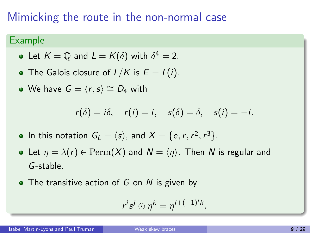#### Example

- Let  $K=\mathbb{Q}$  and  $L=K(\delta)$  with  $\delta^4=2.$
- The Galois closure of  $L/K$  is  $E = L(i)$ .
- $\bullet$  We have  $G = \langle r, s \rangle \cong D_4$  with

$$
r(\delta) = i\delta
$$
,  $r(i) = i$ ,  $s(\delta) = \delta$ ,  $s(i) = -i$ .

- In this notation  $G_L = \langle s \rangle$ , and  $X = \{\overline{e}, \overline{r}, r^2, r^3\}.$
- Let  $\eta = \lambda(r) \in \text{Perm}(X)$  and  $N = \langle \eta \rangle$ . Then N is regular and G-stable.
- $\bullet$  The transitive action of G on N is given by

$$
r^is^j\odot\eta^k=\eta^{i+(-1)^jk}.
$$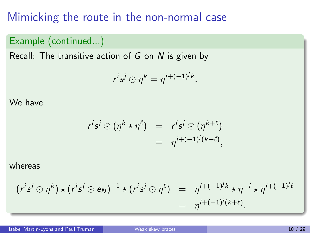#### Example (continued...)

Recall: The transitive action of  $G$  on  $N$  is given by

$$
r^i s^j \odot \eta^k = \eta^{i+(-1)^j k}.
$$

#### We have

$$
r^{i}s^{j} \odot (\eta^{k} \star \eta^{\ell}) = r^{i}s^{j} \odot (\eta^{k+\ell})
$$
  
= 
$$
\eta^{i+(-1)^{j}(k+\ell)},
$$

#### whereas

$$
(r^{i}s^{j} \odot \eta^{k}) \star (r^{i}s^{j} \odot e_{N})^{-1} \star (r^{i}s^{j} \odot \eta^{\ell}) = \eta^{i+(-1)^{j}k} \star \eta^{-i} \star \eta^{i+(-1)^{j}\ell} = \eta^{i+(-1)^{j}(k+\ell)}.
$$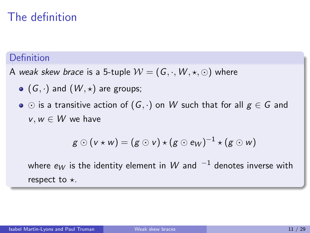# The definition

#### Definition

- A weak skew brace is a 5-tuple  $W = (G, \cdot, W, \star, \odot)$  where
	- $\bullet$  (G, ·) and (W,  $\star$ ) are groups;
	- $\bullet \odot$  is a transitive action of  $(G, \cdot)$  on W such that for all  $g \in G$  and  $v, w \in W$  we have

$$
g\odot(v\star w)=(g\odot v)\star(g\odot e_W)^{-1}\star(g\odot w)
$$

where  $e_W$  is the identity element in W and  $^{-1}$  denotes inverse with respect to  $\star$ .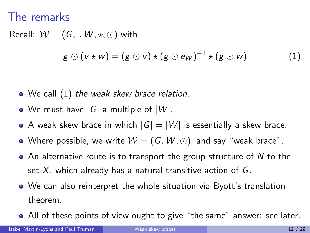### The remarks

Recall:  $W = (G, \cdot, W, \star, \odot)$  with  $g \odot (v \star w) = (g \odot v) \star (g \odot e_W)^{-1} \star (g \odot w)$  (1)

- <span id="page-11-0"></span>• We call [\(1\)](#page-11-0) the weak skew brace relation.
- We must have  $|G|$  a multiple of  $|W|$ .
- A weak skew brace in which  $|G| = |W|$  is essentially a skew brace.
- Where possible, we write  $W = (G, W, \odot)$ , and say "weak brace".
- $\bullet$  An alternative route is to transport the group structure of N to the set  $X$ , which already has a natural transitive action of  $G$ .
- We can also reinterpret the whole situation via Byott's translation theorem.
- All of these points of view ought to give "the same" answer: see later.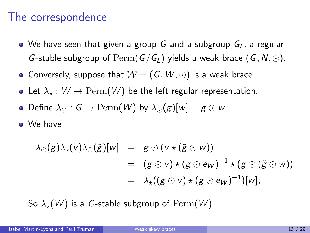### The correspondence

- $\bullet$  We have seen that given a group G and a subgroup  $G_L$ , a regular G-stable subgroup of  $\mathrm{Perm}(G/G_L)$  yields a weak brace  $(G, N, \odot)$ .
- Conversely, suppose that  $W = (G, W, \odot)$  is a weak brace.
- Let  $\lambda_* : W \to \mathrm{Perm}(W)$  be the left regular representation.
- Define  $\lambda_{\Omega}: G \to \text{Perm}(W)$  by  $\lambda_{\Omega}(g)[w] = g \odot w$ .
- We have

$$
\lambda_{\odot}(g)\lambda_{\star}(v)\lambda_{\odot}(\tilde{g})[w] = g \odot (v \star (\tilde{g} \odot w))
$$
  
=  $(g \odot v) \star (g \odot \text{ew})^{-1} \star (g \odot (\tilde{g} \odot w))$   
=  $\lambda_{\star}((g \odot v) \star (g \odot \text{ew})^{-1})[w],$ 

So  $\lambda_{\star}(W)$  is a G-stable subgroup of  $\mathrm{Perm}(W)$ .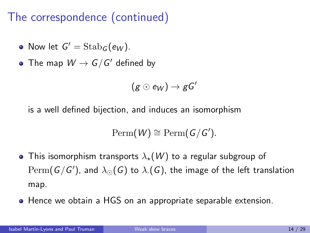# The correspondence (continued)

- Now let  $G' = \operatorname{Stab}_G(e_W)$ .
- The map  $W\to G/G'$  defined by

$$
(g\odot e_W)\rightarrow gG'
$$

is a well defined bijection, and induces an isomorphism

$$
\mathrm{Perm}(W) \cong \mathrm{Perm}(G/G').
$$

- This isomorphism transports  $\lambda_{\star}(W)$  to a regular subgroup of  $\operatorname{Perm}(\mathsf{G}/\mathsf{G}')$ , and  $\lambda_{\odot}(\mathsf{G})$  to  $\lambda_{\cdot}(\mathsf{G})$ , the image of the left translation map.
- Hence we obtain a HGS on an appropriate separable extension.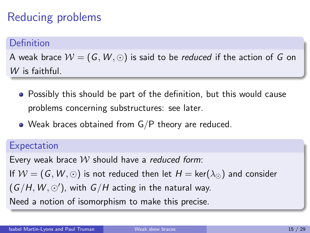# Reducing problems

#### Definition

A weak brace  $\mathcal{W} = (G, W, \odot)$  is said to be *reduced* if the action of G on W is faithful.

- Possibly this should be part of the definition, but this would cause problems concerning substructures: see later.
- Weak braces obtained from G/P theory are reduced.

#### **Expectation**

Every weak brace  $W$  should have a reduced form: If  $W = (G, W, \odot)$  is not reduced then let  $H = \text{ker}(\lambda_{\odot})$  and consider  $(G/H, W, \odot')$ , with  $G/H$  acting in the natural way. Need a notion of isomorphism to make this precise.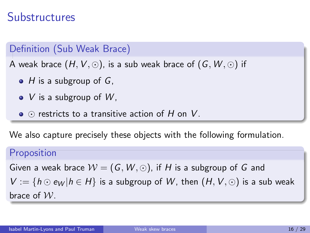# **Substructures**

Definition (Sub Weak Brace)

A weak brace  $(H, V, \odot)$ , is a sub weak brace of  $(G, W, \odot)$  if

- $\bullet$  H is a subgroup of G,
- $\bullet$  V is a subgroup of W,
- $\bullet$   $\odot$  restricts to a transitive action of H on V.

We also capture precisely these objects with the following formulation.

#### Proposition

Given a weak brace  $W = (G, W, \odot)$ , if H is a subgroup of G and  $V := \{h \odot e_W | h \in H\}$  is a subgroup of W, then  $(H, V, \odot)$  is a sub weak brace of  $W$ .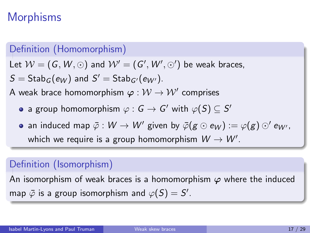# **Morphisms**

#### Definition (Homomorphism)

Let  $\mathcal{W}=(G,W,\odot)$  and  $\mathcal{W}'=(G',W',\odot')$  be weak braces,

 $S = \mathsf{Stab}_G(e_W)$  and  $S' = \mathsf{Stab}_{G'}(e_{W'}).$ 

A weak brace homomorphism  $\bm{\varphi}:\mathcal{W}\to\mathcal{W}'$  comprises

- a group homomorphism  $\varphi: \mathsf{G}\to \mathsf{G}'$  with  $\varphi(\mathsf{S})\subseteq \mathsf{S}'$
- an induced map  $\bar{\varphi}:W\to W'$  given by  $\bar{\varphi}(g\odot e_{W}) := \varphi(g)\odot' e_{W'},$ which we require is a group homomorphism  $W \to W'$ .

#### Definition (Isomorphism)

An isomorphism of weak braces is a homomorphism  $\varphi$  where the induced map  $\bar{\varphi}$  is a group isomorphism and  $\varphi(\overline{S}) = S'.$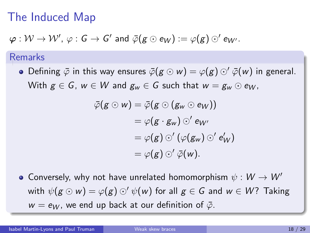# The Induced Map

$$
\varphi: \mathcal{W} \to \mathcal{W}', \varphi: G \to G' \text{ and } \overline{\varphi}(g \odot e_W) := \varphi(g) \odot' e_{W'}.
$$

#### Remarks

• Defining  $\bar{\varphi}$  in this way ensures  $\bar{\varphi}(g \odot w) = \varphi(g) \odot' \bar{\varphi}(w)$  in general. With  $g \in G$ ,  $w \in W$  and  $g_w \in G$  such that  $w = g_w \odot e_W$ ,

$$
\bar{\varphi}(g \odot w) = \bar{\varphi}(g \odot (g_w \odot e_W))
$$
  
=  $\varphi(g \cdot g_w) \odot' e_{W'}$   
=  $\varphi(g) \odot' (\varphi(g_w) \odot' e'_W)$   
=  $\varphi(g) \odot' \bar{\varphi}(w)$ .

• Conversely, why not have unrelated homomorphism  $\psi : W \to W'$ with  $\psi(g \odot w) = \varphi(g) \odot' \psi(w)$  for all  $g \in G$  and  $w \in W$ ? Taking  $w = e_W$ , we end up back at our definition of  $\bar{\varphi}$ .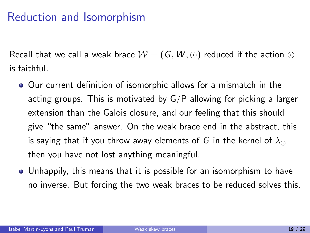# Reduction and Isomorphism

Recall that we call a weak brace  $W = (G, W, \odot)$  reduced if the action  $\odot$ is faithful.

- Our current definition of isomorphic allows for a mismatch in the acting groups. This is motivated by  $G/P$  allowing for picking a larger extension than the Galois closure, and our feeling that this should give "the same" answer. On the weak brace end in the abstract, this is saying that if you throw away elements of G in the kernel of  $\lambda_{\odot}$ then you have not lost anything meaningful.
- Unhappily, this means that it is possible for an isomorphism to have no inverse. But forcing the two weak braces to be reduced solves this.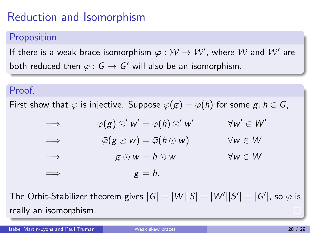# Reduction and Isomorphism

#### Proposition

If there is a weak brace isomorphism  $\varphi: \mathcal{W} \to \mathcal{W}'$ , where  $\mathcal W$  and  $\mathcal{W}'$  are both reduced then  $\varphi: \mathsf{G}\to \mathsf{G}'$  will also be an isomorphism.

#### Proof.

First show that  $\varphi$  is injective. Suppose  $\varphi(g) = \varphi(h)$  for some  $g, h \in G$ ,

$$
\Rightarrow \varphi(g) \odot' w' = \varphi(h) \odot' w' \qquad \forall w' \in W'
$$
  
\n
$$
\Rightarrow \qquad \bar{\varphi}(g \odot w) = \bar{\varphi}(h \odot w) \qquad \forall w \in W
$$
  
\n
$$
\Rightarrow \qquad g \odot w = h \odot w \qquad \forall w \in W
$$
  
\n
$$
\Rightarrow \qquad g = h.
$$

The Orbit-Stabilizer theorem gives  $|G|=|W||S|=|W'||S'|=|G'|$ , so  $\varphi$  is really an isomorphism.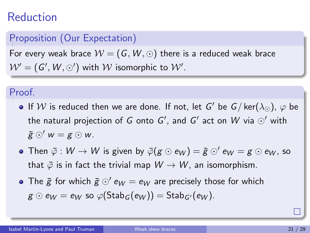### Reduction

#### Proposition (Our Expectation)

For every weak brace  $W = (G, W, \odot)$  there is a reduced weak brace  $\mathcal{W'}=(G',\mathcal{W},\odot')$  with  $\mathcal W$  isomorphic to  $\mathcal W'.$ 

#### Proof.

- If  ${\mathcal W}$  is reduced then we are done. If not, let  $G'$  be  $G/\ker(\lambda_\odot)$ ,  $\varphi$  be the natural projection of  $G$  onto  $G'$ , and  $G'$  act on  $W$  via  $\odot'$  with  $\bar{g} \odot' w = g \odot w$ .
- Then  $\bar{\varphi} : W \to W$  is given by  $\bar{\varphi}(g \odot e_W) = \bar{g} \odot' e_W = g \odot e_W$ , so that  $\bar{\varphi}$  is in fact the trivial map  $W \to W$ , an isomorphism.
- The  $\bar{g}$  for which  $\bar{g} \odot' e_W = e_W$  are precisely those for which  $g \odot e_W = e_W$  so  $\varphi(\text{Stab}_G(e_W)) = \text{Stab}_{G'}(e_W)$ .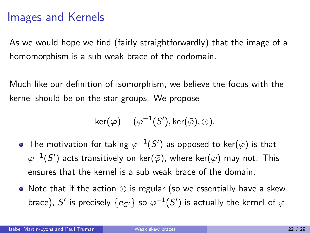## Images and Kernels

As we would hope we find (fairly straightforwardly) that the image of a homomorphism is a sub weak brace of the codomain.

Much like our definition of isomorphism, we believe the focus with the kernel should be on the star groups. We propose

$$
\ker(\varphi)=(\varphi^{-1}(S'),\ker(\bar{\varphi}),\odot).
$$

- The motivation for taking  $\varphi^{-1}(S')$  as opposed to ker $(\varphi)$  is that  $\varphi^{-1}(S')$  acts transitively on ker $(\bar{\varphi})$ , where ker $(\varphi)$  may not. This ensures that the kernel is a sub weak brace of the domain.
- Note that if the action  $\odot$  is regular (so we essentially have a skew brace),  $S'$  is precisely  $\{e_{G'}\}$  so  $\varphi^{-1}(S')$  is actually the kernel of  $\varphi$ .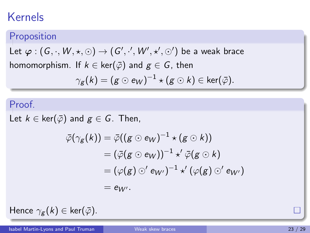# Kernels

#### Proposition

Let  $\varphi: (G,\cdot,W,\star,\odot)\to (G',\cdot',W',\star',\odot')$  be a weak brace homomorphism. If  $k \in \text{ker}(\bar{\varphi})$  and  $g \in G$ , then

$$
\gamma_{g}(k)=(g\odot e_{W})^{-1}\star (g\odot k)\in \ker(\bar{\varphi}).
$$

#### Proof.

Let  $k \in \text{ker}(\bar{\varphi})$  and  $g \in G$ . Then,

$$
\begin{aligned} \bar{\varphi}(\gamma_g(k))&=\bar{\varphi}((g\odot e_W)^{-1}\star(g\odot k))\\&=(\bar{\varphi}(g\odot e_W))^{-1}\star'\bar{\varphi}(g\odot k)\\&=(\varphi(g)\odot' e_{W'})^{-1}\star'(\varphi(g)\odot' e_{W'})\\&=e_{W'}.\end{aligned}
$$

Hence  $\gamma_{\mathbf{g}}(k) \in \text{ker}(\bar{\varphi})$ .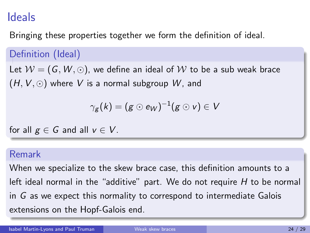## Ideals

Bringing these properties together we form the definition of ideal.

### Definition (Ideal)

Let  $W = (G, W, \odot)$ , we define an ideal of W to be a sub weak brace  $(H, V, \odot)$  where V is a normal subgroup W, and

$$
\gamma_{\mathcal{g}}(k)=(\mathcal{g}\odot e_{W})^{-1}(\mathcal{g}\odot v)\in V
$$

for all  $g \in G$  and all  $v \in V$ .

#### Remark

When we specialize to the skew brace case, this definition amounts to a left ideal normal in the "additive" part. We do not require  $H$  to be normal in G as we expect this normality to correspond to intermediate Galois extensions on the Hopf-Galois end.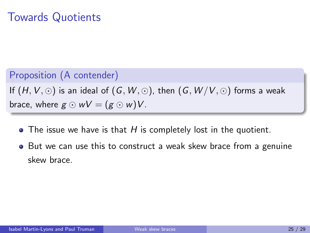#### Proposition (A contender)

If  $(H, V, \odot)$  is an ideal of  $(G, W, \odot)$ , then  $(G, W/V, \odot)$  forms a weak brace, where  $g \odot wV = (g \odot w)V$ .

- $\bullet$  The issue we have is that H is completely lost in the quotient.
- But we can use this to construct a weak skew brace from a genuine skew brace.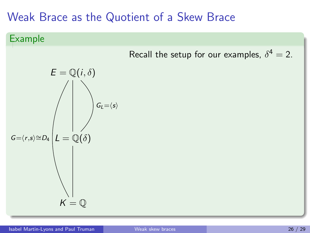### Example

Recall the setup for our examples, 
$$
\delta^4 = 2
$$
.

E = Q(i, δ) G=hr,si∼=D<sup>4</sup> GL=hsi L = Q(δ) K = Q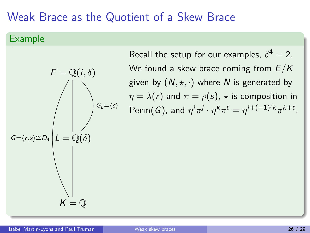$G_L = \langle s \rangle$ 

#### Example

Recall the setup for our examples,  $\delta^4 = 2$ . We found a skew brace coming from  $E/K$ given by  $(N, \star, \cdot)$  where N is generated by  $\eta = \lambda(r)$  and  $\pi = \rho(s)$ ,  $\star$  is composition in  $\mathrm{Perm}(G)$ , and  $\eta^i\pi^j\cdot\eta^k\pi^\ell=\eta^{i+(-1)^jk}\pi^{k+\ell}.$ 

 $K = \mathbb{Q}$ 

 $G=\langle r,s\rangle\cong D_4\big|L=\mathbb{Q}(\delta)$ 

 $E = \mathbb{Q}(i, \delta)$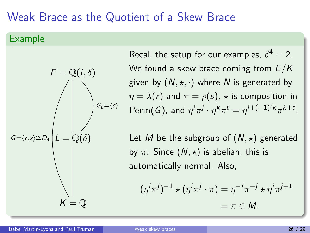#### Example



Recall the setup for our examples,  $\delta^4 = 2$ . We found a skew brace coming from  $E/K$ given by  $(N, \star, \cdot)$  where N is generated by  $\eta = \lambda(r)$  and  $\pi = \rho(s)$ ,  $\star$  is composition in  $\mathrm{Perm}(G)$ , and  $\eta^i\pi^j\cdot\eta^k\pi^\ell=\eta^{i+(-1)^jk}\pi^{k+\ell}.$ 

Let M be the subgroup of  $(N, \star)$  generated by  $\pi$ . Since  $(N, \star)$  is abelian, this is automatically normal. Also,

$$
(\eta^i \pi^j)^{-1} \star (\eta^i \pi^j \cdot \pi) = \eta^{-i} \pi^{-j} \star \eta^i \pi^{j+1}
$$

$$
= \pi \in M.
$$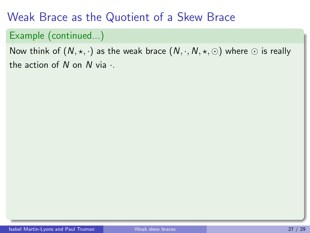### Example (continued...)

Now think of  $(N, \star, \cdot)$  as the weak brace  $(N, \cdot, N, \star, \odot)$  where  $\odot$  is really the action of  $N$  on  $N$  via  $\cdot$ .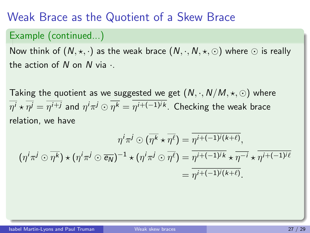### Example (continued...)

Now think of  $(N, \star, \cdot)$  as the weak brace  $(N, \cdot, N, \star, \odot)$  where  $\odot$  is really the action of  $N$  on  $N$  via  $\cdot$ .

Taking the quotient as we suggested we get  $(N, \cdot, N/M, \star, \odot)$  where  $\overline{\eta^j}\star\overline{\eta^j}=\overline{\eta^{i+j}}$  and  $\eta^i\pi^j\odot\eta^k=\eta^{i+(-1)^jk}.$  Checking the weak brace relation, we have

$$
\eta^i \pi^j \odot (\overline{\eta^k} \star \overline{\eta^\ell}) = \overline{\eta^{i+(-1)^j(k+\ell)}},
$$

$$
(\eta^i \pi^j \odot \overline{\eta^k}) \star (\eta^i \pi^j \odot \overline{\epsilon_N})^{-1} \star (\eta^i \pi^j \odot \overline{\eta^\ell}) = \overline{\eta^{i+(-1)^j k} \star \overline{\eta^{-i}} \star \overline{\eta^{i+(-1)^j \ell}}}
$$

$$
= \overline{\eta^{i+(-1)^j(k+\ell)}}.
$$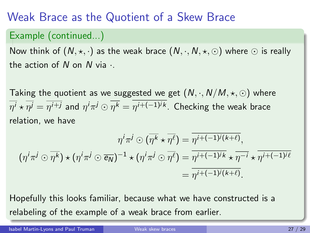### Example (continued...)

Now think of  $(N, \star, \cdot)$  as the weak brace  $(N, \cdot, N, \star, \odot)$  where  $\odot$  is really the action of  $N$  on  $N$  via  $\cdot$ .

Taking the quotient as we suggested we get  $(N, \cdot, N/M, \star, \odot)$  where  $\overline{\eta^j}\star\overline{\eta^j}=\overline{\eta^{i+j}}$  and  $\eta^i\pi^j\odot\eta^k=\eta^{i+(-1)^jk}.$  Checking the weak brace relation, we have

$$
\eta^i \pi^j \odot (\overline{\eta^k} \star \overline{\eta^\ell}) = \overline{\eta^{i+(-1)^j(k+\ell)}},
$$

$$
(\eta^i \pi^j \odot \overline{\eta^k}) \star (\eta^i \pi^j \odot \overline{\epsilon_N})^{-1} \star (\eta^i \pi^j \odot \overline{\eta^\ell}) = \overline{\eta^{i+(-1)^j k} \star \overline{\eta^{-i}} \star \overline{\eta^{i+(-1)^j \ell}}}
$$

$$
= \overline{\eta^{i+(-1)^j(k+\ell)}}.
$$

Hopefully this looks familiar, because what we have constructed is a relabeling of the example of a weak brace from earlier.

Isabel Martin-Lyons and Paul Truman [Weak skew braces](#page-0-0) 27 / 29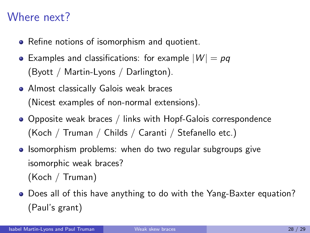## Where next?

- Refine notions of isomorphism and quotient.
- Examples and classifications: for example  $|W| = pq$ (Byott / Martin-Lyons / Darlington).
- **Almost classically Galois weak braces** (Nicest examples of non-normal extensions).
- Opposite weak braces / links with Hopf-Galois correspondence (Koch / Truman / Childs / Caranti / Stefanello etc.)
- Isomorphism problems: when do two regular subgroups give isomorphic weak braces? (Koch / Truman)
- Does all of this have anything to do with the Yang-Baxter equation? (Paul's grant)